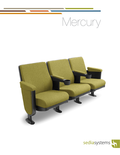# Mercury